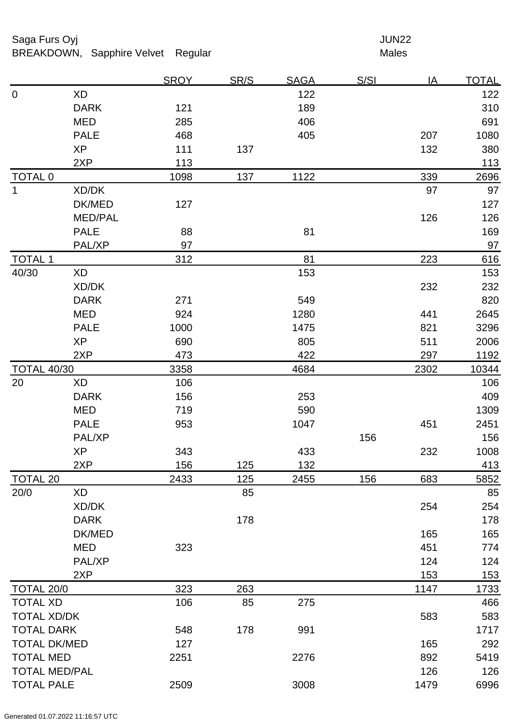# Saga Furs Oyj and the Saga Furs Oyj and the Saga Furs of the Saga Furs of the Saga Furs of the Saga Furs of the Saga Furs of the Saga Furs of the Saga Furs of the Saga Furs of the Saga Furs of the Saga Furs of the Saga Fur

BREAKDOWN, Sapphire Velvet Regular Males

|                      |                | <b>SROY</b> | SR/S | <b>SAGA</b> | <u>S/SI</u> | IA   | <b>TOTAL</b> |
|----------------------|----------------|-------------|------|-------------|-------------|------|--------------|
| $\mathbf 0$          | <b>XD</b>      |             |      | 122         |             |      | 122          |
|                      | <b>DARK</b>    | 121         |      | 189         |             |      | 310          |
|                      | <b>MED</b>     | 285         |      | 406         |             |      | 691          |
|                      | <b>PALE</b>    | 468         |      | 405         |             | 207  | 1080         |
|                      | <b>XP</b>      | 111         | 137  |             |             | 132  | 380          |
|                      | 2XP            | 113         |      |             |             |      | $113$        |
| <b>TOTAL 0</b>       |                | 1098        | 137  | 1122        |             | 339  | 2696         |
| $\mathbf{1}$         | XD/DK          |             |      |             |             | 97   | 97           |
|                      | DK/MED         | 127         |      |             |             |      | 127          |
|                      | <b>MED/PAL</b> |             |      |             |             | 126  | 126          |
|                      | <b>PALE</b>    | 88          |      | 81          |             |      | 169          |
|                      | PAL/XP         | 97          |      |             |             |      | 97           |
| <b>TOTAL 1</b>       |                | 312         |      | 81          |             | 223  | 616          |
| 40/30                | XD             |             |      | 153         |             |      | 153          |
|                      | XD/DK          |             |      |             |             | 232  | 232          |
|                      | <b>DARK</b>    | 271         |      | 549         |             |      | 820          |
|                      | <b>MED</b>     | 924         |      | 1280        |             | 441  | 2645         |
|                      | <b>PALE</b>    | 1000        |      | 1475        |             | 821  | 3296         |
|                      | <b>XP</b>      | 690         |      | 805         |             | 511  | 2006         |
|                      | 2XP            | 473         |      | 422         |             | 297  | 1192         |
| <b>TOTAL 40/30</b>   |                | 3358        |      | 4684        |             | 2302 | 10344        |
| 20                   | <b>XD</b>      | 106         |      |             |             |      | 106          |
|                      | <b>DARK</b>    | 156         |      | 253         |             |      | 409          |
|                      | <b>MED</b>     | 719         |      | 590         |             |      | 1309         |
|                      | <b>PALE</b>    | 953         |      | 1047        |             | 451  | 2451         |
|                      | PAL/XP         |             |      |             | 156         |      | 156          |
|                      | <b>XP</b>      | 343         |      | 433         |             | 232  | 1008         |
|                      | 2XP            | 156         | 125  | 132         |             |      | 413          |
| <b>TOTAL 20</b>      |                | 2433        | 125  | 2455        | 156         | 683  | 5852         |
| 20/0                 | <b>XD</b>      |             | 85   |             |             |      | 85           |
|                      | XD/DK          |             |      |             |             | 254  | 254          |
|                      | <b>DARK</b>    |             | 178  |             |             |      | 178          |
|                      | DK/MED         |             |      |             |             | 165  | 165          |
|                      | <b>MED</b>     | 323         |      |             |             | 451  | 774          |
|                      | PAL/XP         |             |      |             |             | 124  | 124          |
|                      | 2XP            |             |      |             |             | 153  | 153          |
| TOTAL 20/0           |                | 323         | 263  |             |             | 1147 | 1733         |
| <b>TOTAL XD</b>      |                | 106         | 85   | 275         |             |      | 466          |
| <b>TOTAL XD/DK</b>   |                |             |      |             |             | 583  | 583          |
| <b>TOTAL DARK</b>    |                | 548         | 178  | 991         |             |      | 1717         |
| <b>TOTAL DK/MED</b>  |                | 127         |      |             |             | 165  | 292          |
| <b>TOTAL MED</b>     |                | 2251        |      | 2276        |             | 892  | 5419         |
| <b>TOTAL MED/PAL</b> |                |             |      |             |             | 126  | 126          |
| <b>TOTAL PALE</b>    |                | 2509        |      | 3008        |             | 1479 | 6996         |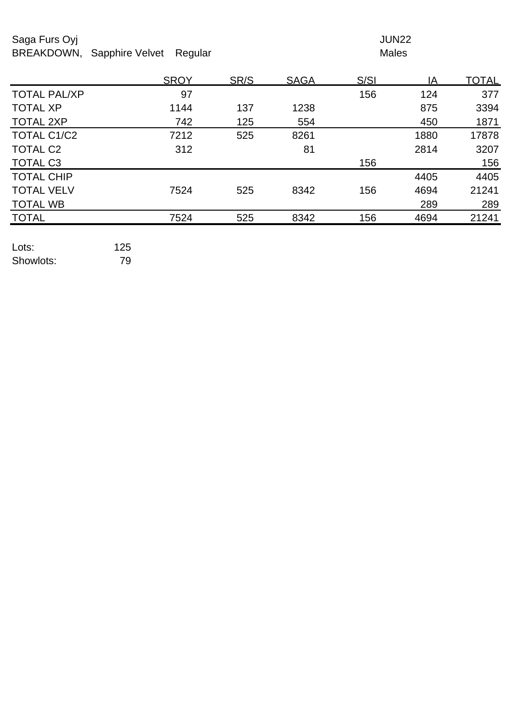## Saga Furs Oyj and the Saga Furs Oyj and the Saga Furs of the Saga Furs of the Saga Furs of the Saga Furs of the Saga Furs of the Saga Furs of the Saga Furs of the Saga Furs of the Saga Furs of the Saga Furs of the Saga Fur BREAKDOWN, Sapphire Velvet Regular Males

|                     | <b>SROY</b> | SR/S | <b>SAGA</b> | S/SI | IA   | <u>TOTAL</u> |
|---------------------|-------------|------|-------------|------|------|--------------|
| <b>TOTAL PAL/XP</b> | 97          |      |             | 156  | 124  | 377          |
| <b>TOTAL XP</b>     | 1144        | 137  | 1238        |      | 875  | 3394         |
| <b>TOTAL 2XP</b>    | 742         | 125  | 554         |      | 450  | 1871         |
| TOTAL C1/C2         | 7212        | 525  | 8261        |      | 1880 | 17878        |
| <b>TOTAL C2</b>     | 312         |      | 81          |      | 2814 | 3207         |
| TOTAL C3            |             |      |             | 156  |      | 156          |
| <b>TOTAL CHIP</b>   |             |      |             |      | 4405 | 4405         |
| <b>TOTAL VELV</b>   | 7524        | 525  | 8342        | 156  | 4694 | 21241        |
| <b>TOTAL WB</b>     |             |      |             |      | 289  | 289          |
| <b>TOTAL</b>        | 7524        | 525  | 8342        | 156  | 4694 | 21241        |
|                     |             |      |             |      |      |              |

Lots: 125 Showlots: 79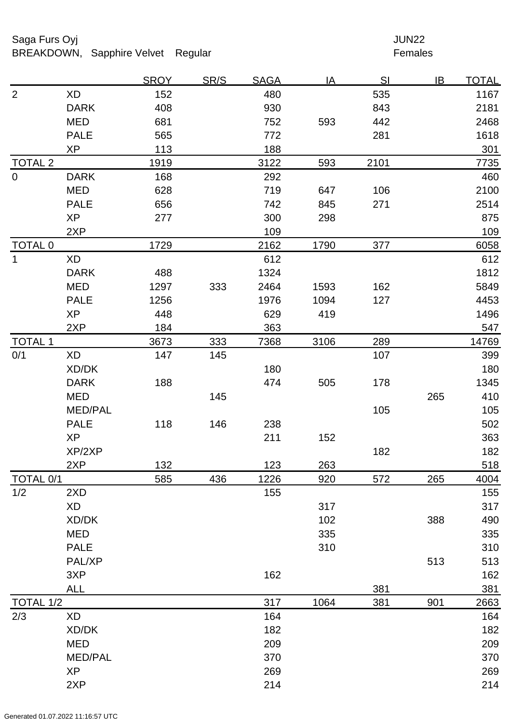# Saga Furs Oyj and the Saga Furs Oyj and the Saga Furs of the Saga Furs of the Saga Furs of the Saga Furs of the Saga Furs of the Saga Furs of the Saga Furs of the Saga Furs of the Saga Furs of the Saga Furs of the Saga Fur

BREAKDOWN, Sapphire Velvet Regular Females

|                  |                | <b>SROY</b> | SR/S | <b>SAGA</b> | IA   | SI   | IB  | <b>TOTAL</b> |
|------------------|----------------|-------------|------|-------------|------|------|-----|--------------|
| $\overline{2}$   | <b>XD</b>      | 152         |      | 480         |      | 535  |     | 1167         |
|                  | <b>DARK</b>    | 408         |      | 930         |      | 843  |     | 2181         |
|                  | <b>MED</b>     | 681         |      | 752         | 593  | 442  |     | 2468         |
|                  | <b>PALE</b>    | 565         |      | 772         |      | 281  |     | 1618         |
|                  | XP             | 113         |      | 188         |      |      |     | 301          |
| <b>TOTAL 2</b>   |                | 1919        |      | 3122        | 593  | 2101 |     | 7735         |
| $\mathbf 0$      | <b>DARK</b>    | 168         |      | 292         |      |      |     | 460          |
|                  | <b>MED</b>     | 628         |      | 719         | 647  | 106  |     | 2100         |
|                  | <b>PALE</b>    | 656         |      | 742         | 845  | 271  |     | 2514         |
|                  | <b>XP</b>      | 277         |      | 300         | 298  |      |     | 875          |
|                  | 2XP            |             |      | 109         |      |      |     | 109          |
| <b>TOTAL 0</b>   |                | 1729        |      | 2162        | 1790 | 377  |     | 6058         |
| $\mathbf{1}$     | <b>XD</b>      |             |      | 612         |      |      |     | 612          |
|                  | <b>DARK</b>    | 488         |      | 1324        |      |      |     | 1812         |
|                  | <b>MED</b>     | 1297        | 333  | 2464        | 1593 | 162  |     | 5849         |
|                  | <b>PALE</b>    | 1256        |      | 1976        | 1094 | 127  |     | 4453         |
|                  | <b>XP</b>      | 448         |      | 629         | 419  |      |     | 1496         |
|                  | 2XP            | 184         |      | 363         |      |      |     | 547          |
| <b>TOTAL 1</b>   |                | 3673        | 333  | 7368        | 3106 | 289  |     | 14769        |
| 0/1              | XD             | 147         | 145  |             |      | 107  |     | 399          |
|                  | XD/DK          |             |      | 180         |      |      |     | 180          |
|                  | <b>DARK</b>    | 188         |      | 474         | 505  | 178  |     | 1345         |
|                  | <b>MED</b>     |             | 145  |             |      |      | 265 | 410          |
|                  | <b>MED/PAL</b> |             |      |             |      | 105  |     | 105          |
|                  | <b>PALE</b>    | 118         | 146  | 238         |      |      |     | 502          |
|                  | <b>XP</b>      |             |      | 211         | 152  |      |     | 363          |
|                  | XP/2XP         |             |      |             |      | 182  |     | 182          |
|                  | 2XP            | 132         |      | 123         | 263  |      |     | 518          |
| TOTAL 0/1        |                | 585         | 436  | 1226        | 920  | 572  | 265 | 4004         |
| 1/2              | 2XD            |             |      | 155         |      |      |     | 155          |
|                  | <b>XD</b>      |             |      |             | 317  |      |     | 317          |
|                  | XD/DK          |             |      |             | 102  |      | 388 | 490          |
|                  | <b>MED</b>     |             |      |             | 335  |      |     | 335          |
|                  | <b>PALE</b>    |             |      |             | 310  |      |     | 310          |
|                  | PAL/XP         |             |      |             |      |      | 513 | 513          |
|                  | 3XP            |             |      | 162         |      |      |     | 162          |
|                  | <b>ALL</b>     |             |      |             |      | 381  |     | 381          |
| <b>TOTAL 1/2</b> |                |             |      | 317         | 1064 | 381  | 901 | 2663         |
| 2/3              | XD             |             |      | 164         |      |      |     | 164          |
|                  | XD/DK          |             |      | 182         |      |      |     | 182          |
|                  | <b>MED</b>     |             |      | 209         |      |      |     | 209          |
|                  | <b>MED/PAL</b> |             |      | 370         |      |      |     | 370          |
|                  | <b>XP</b>      |             |      | 269         |      |      |     | 269          |
|                  | 2XP            |             |      | 214         |      |      |     | 214          |